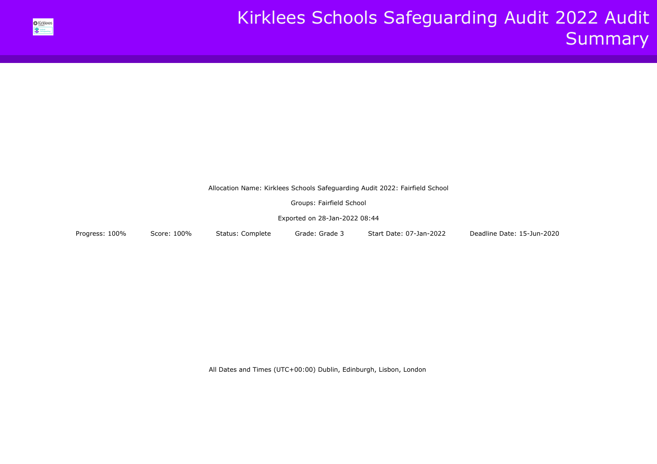

Allocation Name: Kirklees Schools Safeguarding Audit 2022: Fairfield School

Groups: Fairfield School

Exported on 28-Jan-2022 08:44

Progress: 100% Score: 100% Status: Complete Grade: Grade 3 Start Date: 07-Jan-2022 Deadline Date: 15-Jun-2020

All Dates and Times (UTC+00:00) Dublin, Edinburgh, Lisbon, London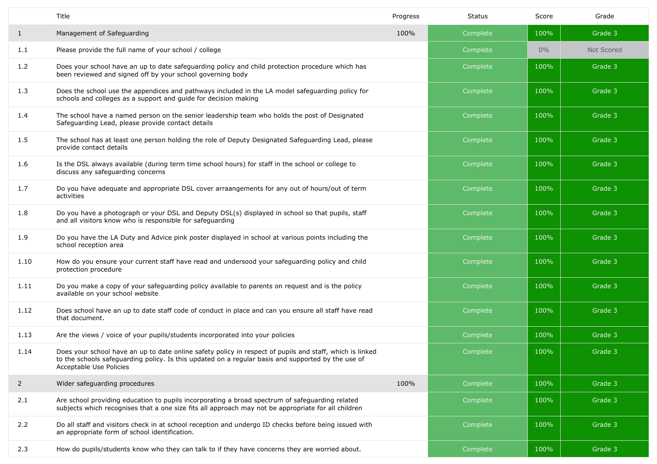|                | Title                                                                                                                                                                                                                                     | Progress | Status   | Score | Grade      |
|----------------|-------------------------------------------------------------------------------------------------------------------------------------------------------------------------------------------------------------------------------------------|----------|----------|-------|------------|
| $\mathbf{1}$   | Management of Safeguarding                                                                                                                                                                                                                | 100%     | Complete | 100%  | Grade 3    |
| 1.1            | Please provide the full name of your school / college                                                                                                                                                                                     |          | Complete | $0\%$ | Not Scored |
| 1.2            | Does your school have an up to date safeguarding policy and child protection procedure which has<br>been reviewed and signed off by your school governing body                                                                            |          | Complete | 100%  | Grade 3    |
| 1.3            | Does the school use the appendices and pathways included in the LA model safeguarding policy for<br>schools and colleges as a support and guide for decision making                                                                       |          | Complete | 100%  | Grade 3    |
| 1.4            | The school have a named person on the senior leadership team who holds the post of Designated<br>Safeguarding Lead, please provide contact details                                                                                        |          | Complete | 100%  | Grade 3    |
| 1.5            | The school has at least one person holding the role of Deputy Designated Safeguarding Lead, please<br>provide contact details                                                                                                             |          | Complete | 100%  | Grade 3    |
| 1.6            | Is the DSL always available (during term time school hours) for staff in the school or college to<br>discuss any safeguarding concerns                                                                                                    |          | Complete | 100%  | Grade 3    |
| 1.7            | Do you have adequate and appropriate DSL cover arraangements for any out of hours/out of term<br>activities                                                                                                                               |          | Complete | 100%  | Grade 3    |
| 1.8            | Do you have a photograph or your DSL and Deputy DSL(s) displayed in school so that pupils, staff<br>and all visitors know who is responsible for safeguarding                                                                             |          | Complete | 100%  | Grade 3    |
| 1.9            | Do you have the LA Duty and Advice pink poster displayed in school at various points including the<br>school reception area                                                                                                               |          | Complete | 100%  | Grade 3    |
| 1.10           | How do you ensure your current staff have read and undersood your safeguarding policy and child<br>protection procedure                                                                                                                   |          | Complete | 100%  | Grade 3    |
| 1.11           | Do you make a copy of your safeguarding policy available to parents on request and is the policy<br>available on your school website                                                                                                      |          | Complete | 100%  | Grade 3    |
| 1.12           | Does school have an up to date staff code of conduct in place and can you ensure all staff have read<br>that document.                                                                                                                    |          | Complete | 100%  | Grade 3    |
| 1.13           | Are the views / voice of your pupils/students incorporated into your policies                                                                                                                                                             |          | Complete | 100%  | Grade 3    |
| 1.14           | Does your school have an up to date online safety policy in respect of pupils and staff, which is linked<br>to the schools safeguarding policy. Is this updated on a regular basis and supported by the use of<br>Acceptable Use Policies |          | Complete | 100%  | Grade 3    |
| $\overline{2}$ | Wider safeguarding procedures                                                                                                                                                                                                             | 100%     | Complete | 100%  | Grade 3    |
| 2.1            | Are school providing education to pupils incorporating a broad spectrum of safeguarding related<br>subjects which recognises that a one size fits all approach may not be appropriate for all children                                    |          | Complete | 100%  | Grade 3    |
| 2.2            | Do all staff and visitors check in at school reception and undergo ID checks before being issued with<br>an appropriate form of school identification.                                                                                    |          | Complete | 100%  | Grade 3    |
| 2.3            | How do pupils/students know who they can talk to if they have concerns they are worried about.                                                                                                                                            |          | Complete | 100%  | Grade 3    |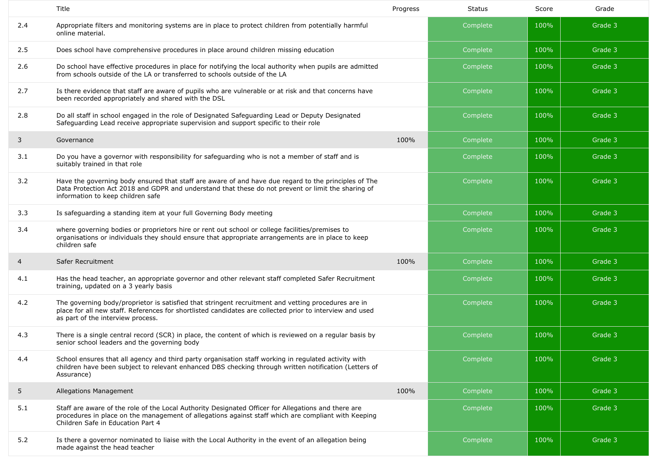|     | Title                                                                                                                                                                                                                                                | Progress | <b>Status</b> | Score | Grade   |
|-----|------------------------------------------------------------------------------------------------------------------------------------------------------------------------------------------------------------------------------------------------------|----------|---------------|-------|---------|
| 2.4 | Appropriate filters and monitoring systems are in place to protect children from potentially harmful<br>online material.                                                                                                                             |          | Complete      | 100%  | Grade 3 |
| 2.5 | Does school have comprehensive procedures in place around children missing education                                                                                                                                                                 |          | Complete      | 100%  | Grade 3 |
| 2.6 | Do school have effective procedures in place for notifying the local authority when pupils are admitted<br>from schools outside of the LA or transferred to schools outside of the LA                                                                |          | Complete      | 100%  | Grade 3 |
| 2.7 | Is there evidence that staff are aware of pupils who are vulnerable or at risk and that concerns have<br>been recorded appropriately and shared with the DSL                                                                                         |          | Complete      | 100%  | Grade 3 |
| 2.8 | Do all staff in school engaged in the role of Designated Safeguarding Lead or Deputy Designated<br>Safeguarding Lead receive appropriate supervision and support specific to their role                                                              |          | Complete      | 100%  | Grade 3 |
| 3   | Governance                                                                                                                                                                                                                                           | 100%     | Complete      | 100%  | Grade 3 |
| 3.1 | Do you have a governor with responsibility for safeguarding who is not a member of staff and is<br>suitably trained in that role                                                                                                                     |          | Complete      | 100%  | Grade 3 |
| 3.2 | Have the governing body ensured that staff are aware of and have due regard to the principles of The<br>Data Protection Act 2018 and GDPR and understand that these do not prevent or limit the sharing of<br>information to keep children safe      |          | Complete      | 100%  | Grade 3 |
| 3.3 | Is safeguarding a standing item at your full Governing Body meeting                                                                                                                                                                                  |          | Complete      | 100%  | Grade 3 |
| 3.4 | where governing bodies or proprietors hire or rent out school or college facilities/premises to<br>organisations or individuals they should ensure that appropriate arrangements are in place to keep<br>children safe                               |          | Complete      | 100%  | Grade 3 |
| 4   | Safer Recruitment                                                                                                                                                                                                                                    | 100%     | Complete      | 100%  | Grade 3 |
| 4.1 | Has the head teacher, an appropriate governor and other relevant staff completed Safer Recruitment<br>training, updated on a 3 yearly basis                                                                                                          |          | Complete      | 100%  | Grade 3 |
| 4.2 | The governing body/proprietor is satisfied that stringent recruitment and vetting procedures are in<br>place for all new staff. References for shortlisted candidates are collected prior to interview and used<br>as part of the interview process. |          | Complete      | 100%  | Grade 3 |
| 4.3 | There is a single central record (SCR) in place, the content of which is reviewed on a regular basis by<br>senior school leaders and the governing body                                                                                              |          | Complete      | 100%  | Grade 3 |
| 4.4 | School ensures that all agency and third party organisation staff working in regulated activity with<br>children have been subject to relevant enhanced DBS checking through written notification (Letters of<br>Assurance)                          |          | Complete      | 100%  | Grade 3 |
| 5   | Allegations Management                                                                                                                                                                                                                               | 100%     | Complete      | 100%  | Grade 3 |
| 5.1 | Staff are aware of the role of the Local Authority Designated Officer for Allegations and there are<br>procedures in place on the management of allegations against staff which are compliant with Keeping<br>Children Safe in Education Part 4      |          | Complete      | 100%  | Grade 3 |
| 5.2 | Is there a governor nominated to liaise with the Local Authority in the event of an allegation being<br>made against the head teacher                                                                                                                |          | Complete      | 100%  | Grade 3 |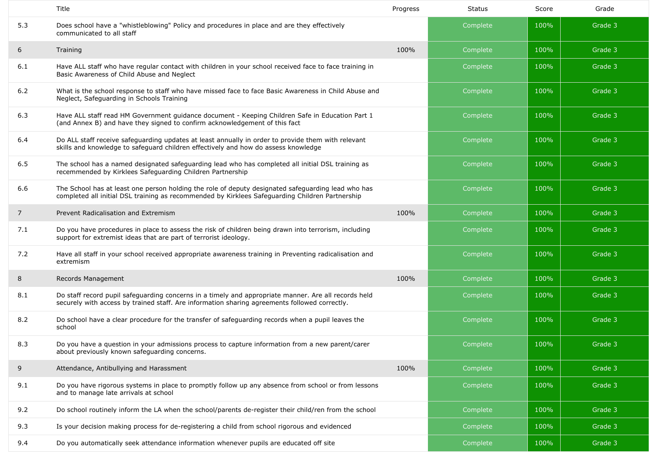|                | Title                                                                                                                                                                                                 | Progress | <b>Status</b> | Score | Grade   |
|----------------|-------------------------------------------------------------------------------------------------------------------------------------------------------------------------------------------------------|----------|---------------|-------|---------|
| 5.3            | Does school have a "whistleblowing" Policy and procedures in place and are they effectively<br>communicated to all staff                                                                              |          | Complete      | 100%  | Grade 3 |
| 6              | Training                                                                                                                                                                                              | 100%     | Complete      | 100%  | Grade 3 |
| 6.1            | Have ALL staff who have regular contact with children in your school received face to face training in<br>Basic Awareness of Child Abuse and Neglect                                                  |          | Complete      | 100%  | Grade 3 |
| $6.2$          | What is the school response to staff who have missed face to face Basic Awareness in Child Abuse and<br>Neglect, Safeguarding in Schools Training                                                     |          | Complete      | 100%  | Grade 3 |
| 6.3            | Have ALL staff read HM Government guidance document - Keeping Children Safe in Education Part 1<br>(and Annex B) and have they signed to confirm acknowledgement of this fact                         |          | Complete      | 100%  | Grade 3 |
| 6.4            | Do ALL staff receive safeguarding updates at least annually in order to provide them with relevant<br>skills and knowledge to safeguard children effectively and how do assess knowledge              |          | Complete      | 100%  | Grade 3 |
| 6.5            | The school has a named designated safeguarding lead who has completed all initial DSL training as<br>recemmended by Kirklees Safeguarding Children Partnership                                        |          | Complete      | 100%  | Grade 3 |
| 6.6            | The School has at least one person holding the role of deputy designated safequarding lead who has<br>completed all initial DSL training as recommended by Kirklees Safeguarding Children Partnership |          | Complete      | 100%  | Grade 3 |
| $\overline{7}$ | Prevent Radicalisation and Extremism                                                                                                                                                                  | 100%     | Complete      | 100%  | Grade 3 |
| 7.1            | Do you have procedures in place to assess the risk of children being drawn into terrorism, including<br>support for extremist ideas that are part of terrorist ideology.                              |          | Complete      | 100%  | Grade 3 |
| 7.2            | Have all staff in your school received appropriate awareness training in Preventing radicalisation and<br>extremism                                                                                   |          | Complete      | 100%  | Grade 3 |
| 8              | Records Management                                                                                                                                                                                    | 100%     | Complete      | 100%  | Grade 3 |
| 8.1            | Do staff record pupil safeguarding concerns in a timely and appropriate manner. Are all records held<br>securely with access by trained staff. Are information sharing agreements followed correctly. |          | Complete      | 100%  | Grade 3 |
| 8.2            | Do school have a clear procedure for the transfer of safeguarding records when a pupil leaves the<br>school                                                                                           |          | Complete      | 100%  | Grade 3 |
| 8.3            | Do you have a question in your admissions process to capture information from a new parent/carer<br>about previously known safeguarding concerns.                                                     |          | Complete      | 100%  | Grade 3 |
| 9              | Attendance, Antibullying and Harassment                                                                                                                                                               | 100%     | Complete      | 100%  | Grade 3 |
| 9.1            | Do you have rigorous systems in place to promptly follow up any absence from school or from lessons<br>and to manage late arrivals at school                                                          |          | Complete      | 100%  | Grade 3 |
| 9.2            | Do school routinely inform the LA when the school/parents de-register their child/ren from the school                                                                                                 |          | Complete      | 100%  | Grade 3 |
| 9.3            | Is your decision making process for de-registering a child from school rigorous and evidenced                                                                                                         |          | Complete      | 100%  | Grade 3 |
| 9.4            | Do you automatically seek attendance information whenever pupils are educated off site                                                                                                                |          | Complete      | 100%  | Grade 3 |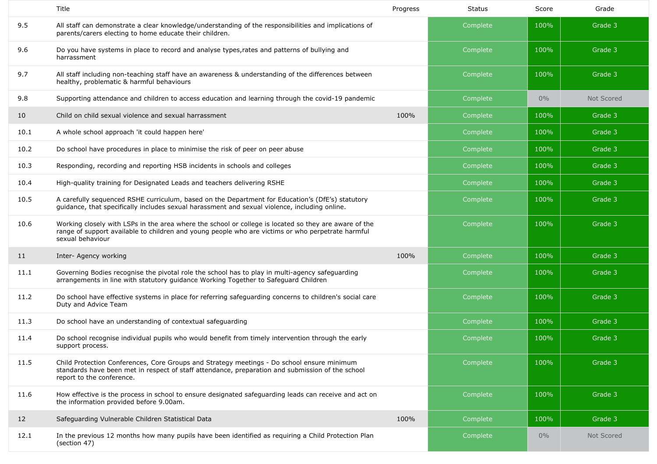|      | Title                                                                                                                                                                                                                          | Progress | <b>Status</b> | Score | Grade      |
|------|--------------------------------------------------------------------------------------------------------------------------------------------------------------------------------------------------------------------------------|----------|---------------|-------|------------|
| 9.5  | All staff can demonstrate a clear knowledge/understanding of the responsibilities and implications of<br>parents/carers electing to home educate their children.                                                               |          | Complete      | 100%  | Grade 3    |
| 9.6  | Do you have systems in place to record and analyse types, rates and patterns of bullying and<br>harrassment                                                                                                                    |          | Complete      | 100%  | Grade 3    |
| 9.7  | All staff including non-teaching staff have an awareness & understanding of the differences between<br>healthy, problematic & harmful behaviours                                                                               |          | Complete      | 100%  | Grade 3    |
| 9.8  | Supporting attendance and children to access education and learning through the covid-19 pandemic                                                                                                                              |          | Complete      | $0\%$ | Not Scored |
| 10   | Child on child sexual violence and sexual harrassment                                                                                                                                                                          | 100%     | Complete      | 100%  | Grade 3    |
| 10.1 | A whole school approach 'it could happen here'                                                                                                                                                                                 |          | Complete      | 100%  | Grade 3    |
| 10.2 | Do school have procedures in place to minimise the risk of peer on peer abuse                                                                                                                                                  |          | Complete      | 100%  | Grade 3    |
| 10.3 | Responding, recording and reporting HSB incidents in schools and colleges                                                                                                                                                      |          | Complete      | 100%  | Grade 3    |
| 10.4 | High-quality training for Designated Leads and teachers delivering RSHE                                                                                                                                                        |          | Complete      | 100%  | Grade 3    |
| 10.5 | A carefully sequenced RSHE curriculum, based on the Department for Education's (DfE's) statutory<br>guidance, that specifically includes sexual harassment and sexual violence, including online.                              |          | Complete      | 100%  | Grade 3    |
| 10.6 | Working closely with LSPs in the area where the school or college is located so they are aware of the<br>range of support available to children and young people who are victims or who perpetrate harmful<br>sexual behaviour |          | Complete      | 100%  | Grade 3    |
| 11   | Inter- Agency working                                                                                                                                                                                                          | 100%     | Complete      | 100%  | Grade 3    |
| 11.1 | Governing Bodies recognise the pivotal role the school has to play in multi-agency safeguarding<br>arrangements in line with statutory guidance Working Together to Safeguard Children                                         |          | Complete      | 100%  | Grade 3    |
| 11.2 | Do school have effective systems in place for referring safeguarding concerns to children's social care<br>Duty and Advice Team                                                                                                |          | Complete      | 100%  | Grade 3    |
| 11.3 | Do school have an understanding of contextual safeguarding                                                                                                                                                                     |          | Complete      | 100%  | Grade 3    |
| 11.4 | Do school recognise individual pupils who would benefit from timely intervention through the early<br>support process.                                                                                                         |          | Complete      | 100%  | Grade 3    |
| 11.5 | Child Protection Conferences, Core Groups and Strategy meetings - Do school ensure minimum<br>standards have been met in respect of staff attendance, preparation and submission of the school<br>report to the conference.    |          | Complete      | 100%  | Grade 3    |
| 11.6 | How effective is the process in school to ensure designated safeguarding leads can receive and act on<br>the information provided before 9.00am.                                                                               |          | Complete      | 100%  | Grade 3    |
| 12   | Safeguarding Vulnerable Children Statistical Data                                                                                                                                                                              | 100%     | Complete      | 100%  | Grade 3    |
| 12.1 | In the previous 12 months how many pupils have been identified as requiring a Child Protection Plan<br>(section 47)                                                                                                            |          | Complete      | $0\%$ | Not Scored |